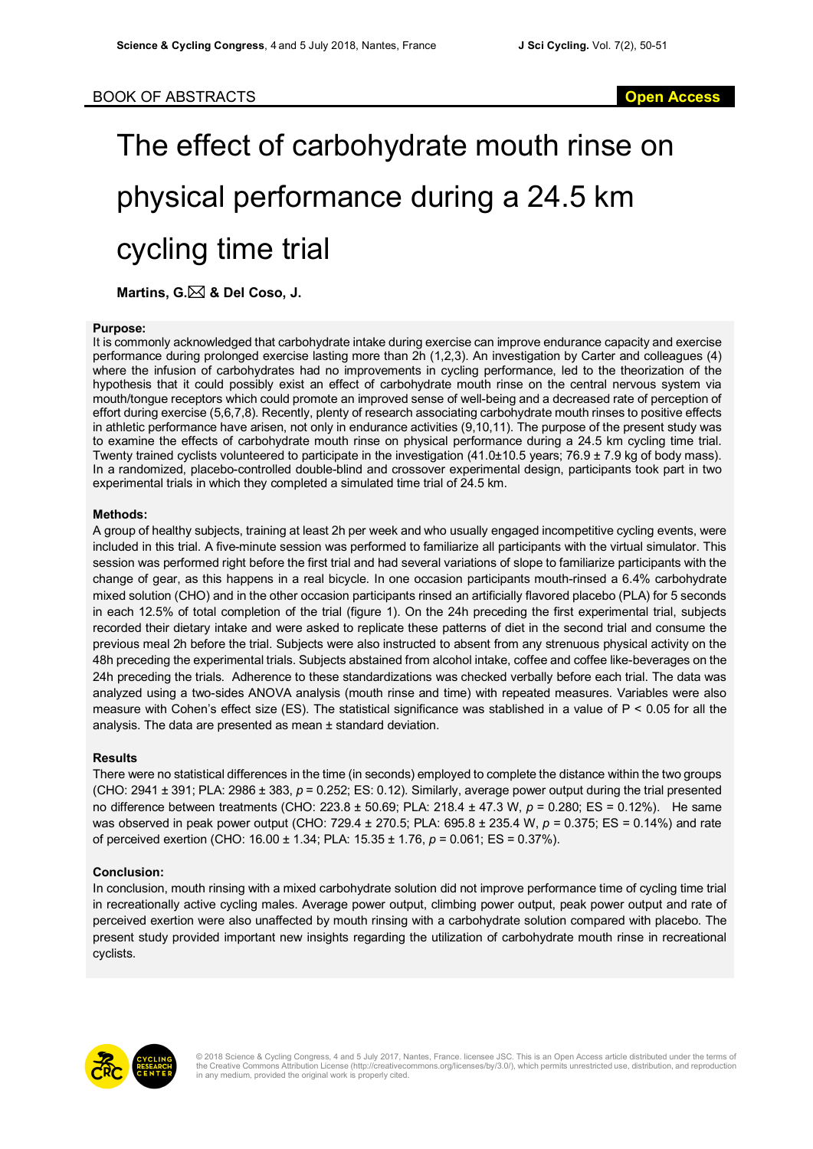# The effect of carbohydrate mouth rinse on physical performance during a 24.5 km cycling time trial

**Martins, G.**\* **& Del Coso, J.**

#### **Purpose:**

It is commonly acknowledged that carbohydrate intake during exercise can improve endurance capacity and exercise performance during prolonged exercise lasting more than 2h (1,2,3). An investigation by Carter and colleagues (4) where the infusion of carbohydrates had no improvements in cycling performance, led to the theorization of the hypothesis that it could possibly exist an effect of carbohydrate mouth rinse on the central nervous system via mouth/tongue receptors which could promote an improved sense of well-being and a decreased rate of perception of effort during exercise (5,6,7,8). Recently, plenty of research associating carbohydrate mouth rinses to positive effects in athletic performance have arisen, not only in endurance activities (9,10,11). The purpose of the present study was to examine the effects of carbohydrate mouth rinse on physical performance during a 24.5 km cycling time trial. Twenty trained cyclists volunteered to participate in the investigation (41.0±10.5 years; 76.9 ± 7.9 kg of body mass). In a randomized, placebo-controlled double-blind and crossover experimental design, participants took part in two experimental trials in which they completed a simulated time trial of 24.5 km.

### **Methods:**

A group of healthy subjects, training at least 2h per week and who usually engaged incompetitive cycling events, were included in this trial. A five-minute session was performed to familiarize all participants with the virtual simulator. This session was performed right before the first trial and had several variations of slope to familiarize participants with the change of gear, as this happens in a real bicycle. In one occasion participants mouth-rinsed a 6.4% carbohydrate mixed solution (CHO) and in the other occasion participants rinsed an artificially flavored placebo (PLA) for 5 seconds in each 12.5% of total completion of the trial (figure 1). On the 24h preceding the first experimental trial, subjects recorded their dietary intake and were asked to replicate these patterns of diet in the second trial and consume the previous meal 2h before the trial. Subjects were also instructed to absent from any strenuous physical activity on the 48h preceding the experimental trials. Subjects abstained from alcohol intake, coffee and coffee like-beverages on the 24h preceding the trials. Adherence to these standardizations was checked verbally before each trial. The data was analyzed using a two-sides ANOVA analysis (mouth rinse and time) with repeated measures. Variables were also measure with Cohen's effect size (ES). The statistical significance was stablished in a value of  $P < 0.05$  for all the analysis. The data are presented as mean ± standard deviation.

## **Results**

There were no statistical differences in the time (in seconds) employed to complete the distance within the two groups (CHO: 2941 ± 391; PLA: 2986 ± 383, *p* = 0.252; ES: 0.12). Similarly, average power output during the trial presented no difference between treatments (CHO: 223.8 ± 50.69; PLA: 218.4 ± 47.3 W, *p* = 0.280; ES = 0.12%). He same was observed in peak power output (CHO: 729.4 ± 270.5; PLA: 695.8 ± 235.4 W, *p* = 0.375; ES = 0.14%) and rate of perceived exertion (CHO: 16.00 ± 1.34; PLA: 15.35 ± 1.76, *p* = 0.061; ES = 0.37%).

## **Conclusion:**

In conclusion, mouth rinsing with a mixed carbohydrate solution did not improve performance time of cycling time trial in recreationally active cycling males. Average power output, climbing power output, peak power output and rate of perceived exertion were also unaffected by mouth rinsing with a carbohydrate solution compared with placebo. The present study provided important new insights regarding the utilization of carbohydrate mouth rinse in recreational cyclists.